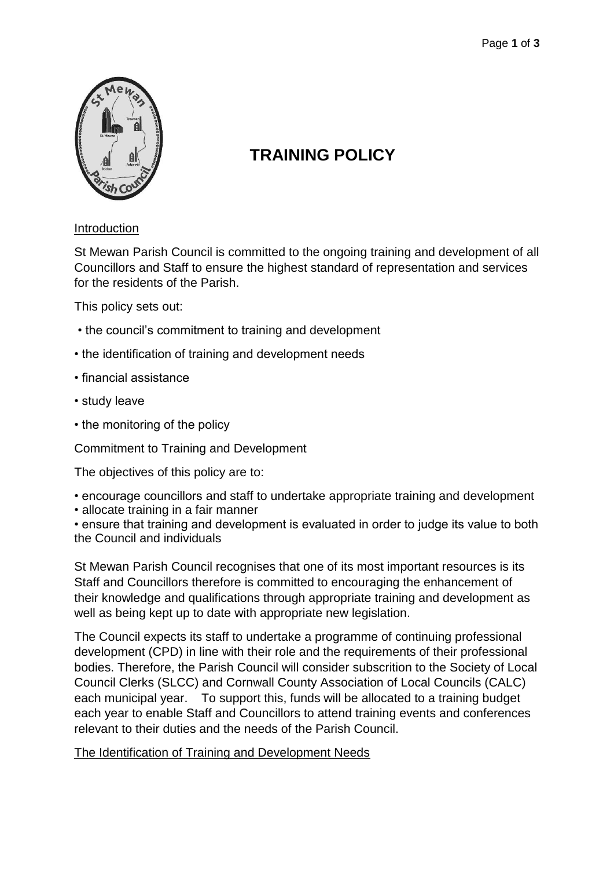

# **TRAINING POLICY**

## Introduction

St Mewan Parish Council is committed to the ongoing training and development of all Councillors and Staff to ensure the highest standard of representation and services for the residents of the Parish.

This policy sets out:

- the council's commitment to training and development
- the identification of training and development needs
- financial assistance
- study leave
- the monitoring of the policy

Commitment to Training and Development

The objectives of this policy are to:

- encourage councillors and staff to undertake appropriate training and development
- allocate training in a fair manner

• ensure that training and development is evaluated in order to judge its value to both the Council and individuals

St Mewan Parish Council recognises that one of its most important resources is its Staff and Councillors therefore is committed to encouraging the enhancement of their knowledge and qualifications through appropriate training and development as well as being kept up to date with appropriate new legislation.

The Council expects its staff to undertake a programme of continuing professional development (CPD) in line with their role and the requirements of their professional bodies. Therefore, the Parish Council will consider subscrition to the Society of Local Council Clerks (SLCC) and Cornwall County Association of Local Councils (CALC) each municipal year. To support this, funds will be allocated to a training budget each year to enable Staff and Councillors to attend training events and conferences relevant to their duties and the needs of the Parish Council.

The Identification of Training and Development Needs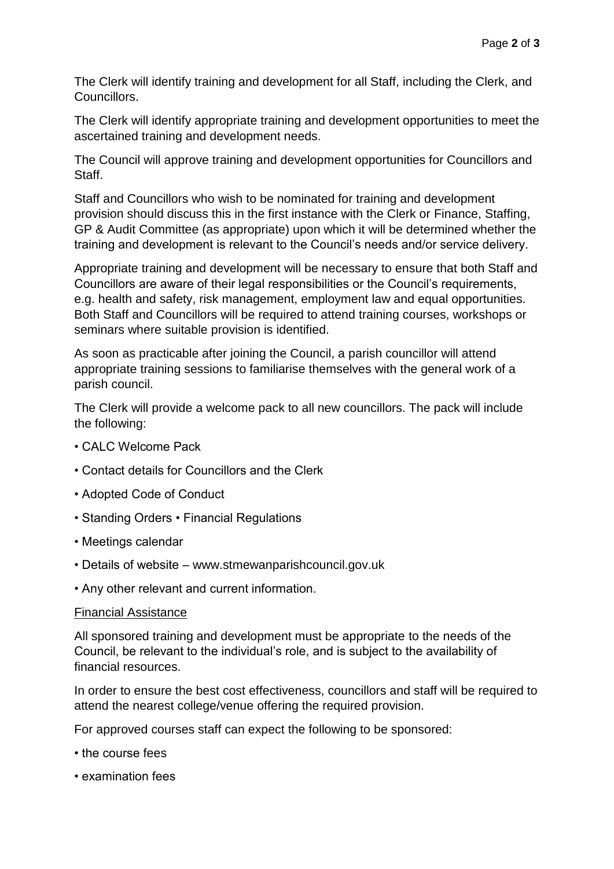The Clerk will identify training and development for all Staff, including the Clerk, and Councillors.

The Clerk will identify appropriate training and development opportunities to meet the ascertained training and development needs.

The Council will approve training and development opportunities for Councillors and Staff.

Staff and Councillors who wish to be nominated for training and development provision should discuss this in the first instance with the Clerk or Finance, Staffing, GP & Audit Committee (as appropriate) upon which it will be determined whether the training and development is relevant to the Council's needs and/or service delivery.

Appropriate training and development will be necessary to ensure that both Staff and Councillors are aware of their legal responsibilities or the Council's requirements, e.g. health and safety, risk management, employment law and equal opportunities. Both Staff and Councillors will be required to attend training courses, workshops or seminars where suitable provision is identified.

As soon as practicable after joining the Council, a parish councillor will attend appropriate training sessions to familiarise themselves with the general work of a parish council.

The Clerk will provide a welcome pack to all new councillors. The pack will include the following:

- CALC Welcome Pack
- Contact details for Councillors and the Clerk
- Adopted Code of Conduct
- Standing Orders Financial Regulations
- Meetings calendar
- Details of website www.stmewanparishcouncil.gov.uk
- Any other relevant and current information.

### Financial Assistance

All sponsored training and development must be appropriate to the needs of the Council, be relevant to the individual's role, and is subject to the availability of financial resources.

In order to ensure the best cost effectiveness, councillors and staff will be required to attend the nearest college/venue offering the required provision.

For approved courses staff can expect the following to be sponsored:

- the course fees
- examination fees